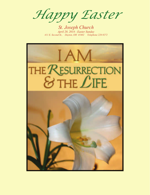*Happy Easter* 

*St. Joseph Church April 20, 2014 - Easter Sunday 411 E. Second St., Dayton, OH 45402 Telephone 228-9272*

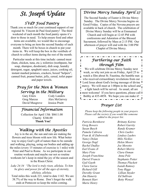# *St. Joseph Update*

## *SVdP Food Pantry*

Thank you so much for your continued support of our regional St. Vincent de Paul food pantry! The third weekend of each month the food pantry opens it's door to those in need. To help ensure food and other items are available, we would like to encourage everyone to bring an item the second Sunday of each month. There will be boxes in church to put your items in. We will keep the box in the vestibule of church to collect items during the rest of the month.

 Particular needs at this time include: canned meat (ham, chicken, tuna, etc.), toiletries (toothpaste, bar soap, shampoo, deodorant), dish soap, laundry detergent, sugar, spaghetti sauce, juices, cooking oil, instant mashed potatoes, crackers, boxed "helpers", canned fruit, peanut butter, jelly, cereal, toilet paper and paper towels.

## *Pray for the Men & Women Serving in the Military*

Gary Eilers Cody Landers David Musgrove Jessica Pruitt

Greg Marcus Alex McGarvey

## *Financial Information*

Collection for April 13th \$8611.00 Charity \$346.00  **Thank You!** 

## *Walking with the Apostles*

 Joy is in the air, the sun and rain are making the flowers and trees bloom with new life. What better way to enjoy God's gift of nature than to be outside and walking, playing, using our bodies and adding up the miles (every 15 minutes of exercise is 1 mile) with Peter and Paul to Rome. As we participate in our routine workouts and maybe our not so routine workouts let's keep in mind the joy of the season and in the Risen Christ.

*Luke 24:34 "The lord is truly risen, alleluia. To him be glory and power for all the ages of eternity, alleluia, alleluia.* 

 Total miles this week 221, total to date 1142. We are 38.7% of the way to Rome. Don't forget the walk ends at Pentecost so keep the miles coming.

## *Divine Mercy Sunday April 27*

The Second Sunday of Easter is Divine Mercy Sunday. The Divine Mercy Novena begins on Good Friday. Copies of the Novena prayers are available in back of church. The celebration of

Divine Mercy Sunday will be at Emmanuel Church and will begin at 12:45 PM with confessions and Adoration of the Blessed Sacrament, followed by Mass at 2:15 PM. Our afternoon of prayer will end with the 3:00 PM Chaplet of Divine Mercy.

## *Furthering our Faith through Film*

We will celebrate Divine Mercy Sunday next week, so why not join us on Friday, April 25 to watch a film about St. Faustina, the humble nun who received extraordinary revelations from our **L** Lord Jesus about God's loving message of divine mercy. We will meet at 1:00pm in the school and a light lunch will be served. As usual, all are most welcome! If you have questions, please call Bobby at 435-4858. We hope you can make it!

### *Prayer List*

 *Please keep the following people in your prayers. Please call the rectory if you would like someone added to the prayer list.* 

*Patricia Bornhorst Brittany Keirns Greg Bowers Robert Garrity Susan Busch Randy Kramer Pamela Cabrera Chris Luehrs Fran & Al Dabrowski Lindsey Luehrs Nancy Dolan Milo Nickles George Dopf Helen Moore Rachel Dudley Joe Moretto Earl Evans Jr Robert Morris Mary Fiste Clara Osman Joseph Franchina Anna Pole Darrel Francis Stephanie Potter Gail Gaeth Thomas Pluckett Clara Garza Isaiah Ramsey Richard Gill Tony Riggs Dorothy Grant Lillian Snyder Jim Hanerty Ed Sullivan Bennett Hart* **Betty Wenzel** *Marie Henry*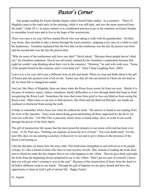# *Pastor's Corner*

 Our gospel reading for Easter Sunday begins where Good Friday ended—in a cemetery. "Mary of Magdala came to the tomb early in the morning, while it was still dark, and saw the stone removed from the tomb." (John 20:1) In many cultures it is a traditional practice to go to the cemetery on Easter Sunday to remember loved ones and to live in the hope of the resurrection.

There was once a six year old boy named David who was taking a walk with his grandmother. On their way home, they decided to take a detour through the local cemetery, stopping every once in a while to read the headstones. Grandma explained that the first date on the tombstone was the day the person was born and the second date was the day the person died.

"Why do some of the tombstones only have one date?" David asked. "Because those people haven't died yet," his Grandma explained. David was obviously stunned by his Grandma's explanation because that night he couldn't stop thinking about their visit to the cemetery. "Mommy," he said with wide eyes. "Some of the people buried in the cemetery aren't even dead yet!" (Don't Stop Laughing Now, 2002)

Leave it to a six year old to put a different twist on life and death. When we stop and think about it the gift of Easter puts the greatest twist of all on life. Easter says that all who are buried in Christ are not dead at all; for them life is changed not ended.

And yet, like Mary of Magdala, there are times when the Risen Jesus seems far from our eyes. Maybe it is because of sickness, injury, failure, loneliness, family difficulties or a loss through death that keep us from recognizing the Risen Lord. Sometimes the tears that come from grief or loss can blind us from seeing the Risen Lord. Other times in our race to find answers, like Peter and the Beloved Disciple, our minds are confused or distracted from seeing the truth.

It helps to remember where Jesus was when he walked the earth. The answer is found in our reading from the Acts of the Apostles. "Jesus went about doing good and healing all those oppressed by the devil, for God was with him." (10:38b) This is precisely where Jesus is found today; alive, at work in our world through the power of the Holy Spirit.

The gift of resurrection life means that the most powerful obstacle to our union with God has been overcome. As St. Paul says, "Nothing can separate us from the love of God." Not even death itself. For the next fifty days we are entering a journey of discovery to see and to give witness to the presence of the Risen Lord among us.

Like the disciples we know how the story ends. This truth must strengthen us and enliven us to be people of hope. It's like a friend of mine who likes to read mystery novels. But, instead of reading the book from start to finish he reads the last chapter first to see what happens to the villain. Then he goes back and reads the book from the beginning always prepared to say to the villain, "Don't get too sure of yourself, I know that you will get what's coming to you in the end." Because of the resurrection of Jesus from the dead we all hold a different script in our hands. Through the gift of baptism we are glory bound and have the opportunity to share in God's gift of eternal life. Happy Easter!

Fr. Angelo